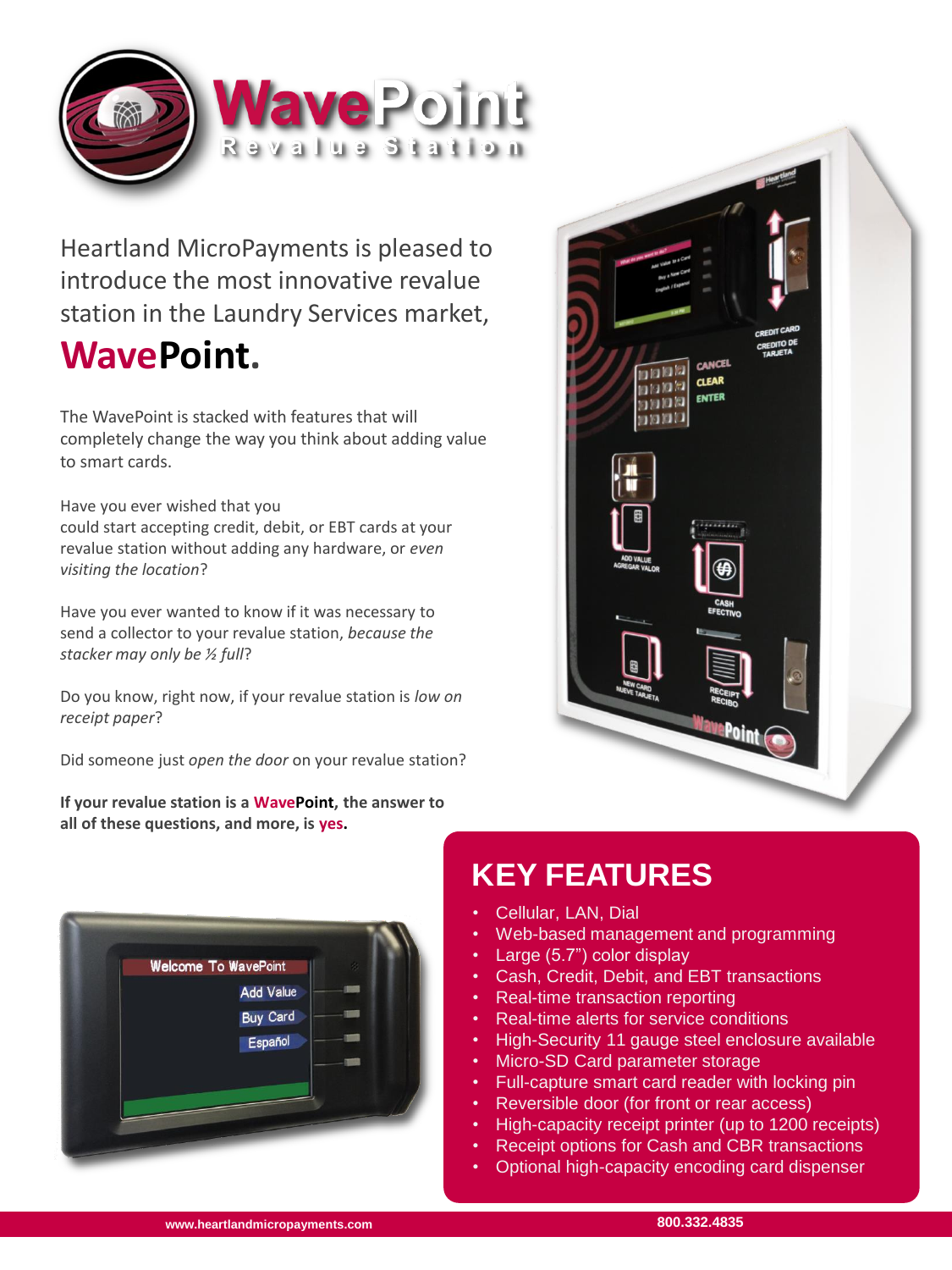

Heartland MicroPayments is pleased to introduce the most innovative revalue station in the Laundry Services market, **WavePoint.**

The WavePoint is stacked with features that will completely change the way you think about adding value to smart cards.

Have you ever wished that you could start accepting credit, debit, or EBT cards at your revalue station without adding any hardware, or *even visiting the location*?

Have you ever wanted to know if it was necessary to send a collector to your revalue station, *because the stacker may only be ½ full*?

Do you know, right now, if your revalue station is *low on receipt paper*?

Did someone just *open the door* on your revalue station?

**If your revalue station is a WavePoint, the answer to all of these questions, and more, is yes.**





## **KEY FEATURES**

- Cellular, LAN, Dial
- Web-based management and programming
- Large (5.7") color display
- Cash, Credit, Debit, and EBT transactions
- Real-time transaction reporting
- Real-time alerts for service conditions
- High-Security 11 gauge steel enclosure available
- **Micro-SD Card parameter storage**
- Full-capture smart card reader with locking pin
- Reversible door (for front or rear access)
- High-capacity receipt printer (up to 1200 receipts)
- Receipt options for Cash and CBR transactions
- Optional high-capacity encoding card dispenser